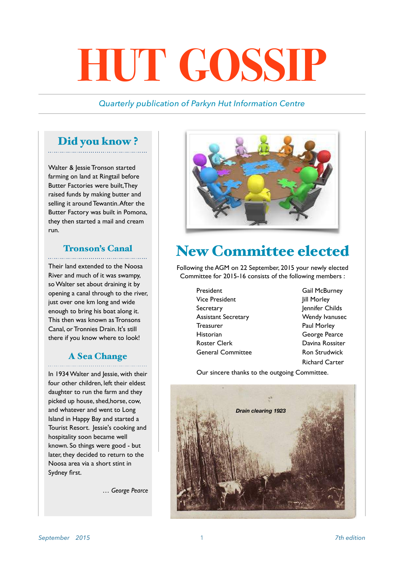# **HUT GOSSIP**

#### *Quarterly publication of Parkyn Hut Information Centre*

#### Did you know ?

Walter & Jessie Tronson started farming on land at Ringtail before Butter Factories were built,They raised funds by making butter and selling it around Tewantin. After the Butter Factory was built in Pomona, they then started a mail and cream run.

## Tronson's Canal

Their land extended to the Noosa River and much of it was swampy, so Walter set about draining it by opening a canal through to the river, just over one km long and wide enough to bring his boat along it. This then was known as Tronsons Canal, or Tronnies Drain. It's still there if you know where to look!

## A Sea Change

In 1934 Walter and Jessie, with their four other children, left their eldest daughter to run the farm and they picked up house, shed,horse, cow, and whatever and went to Long Island in Happy Bay and started a Tourist Resort. Jessie's cooking and hospitality soon became well known. So things were good - but later, they decided to return to the Noosa area via a short stint in Sydney first.

*… George Pearce*



## New Committee elected

Following the AGM on 22 September, 2015 your newly elected Committee for 2015-16 consists of the following members :

- President Gail McBurney Vice President **Jill Morley** Secretary **Jennifer Childs** Assistant Secretary Wendy Ivanusec Treasurer **Paul Morley**  Historian George Pearce **Roster Clerk Communist Clerk Communist Payment Davina Rossiter** General Committee Ron Strudwick
	- Richard Carter

Our sincere thanks to the outgoing Committee.

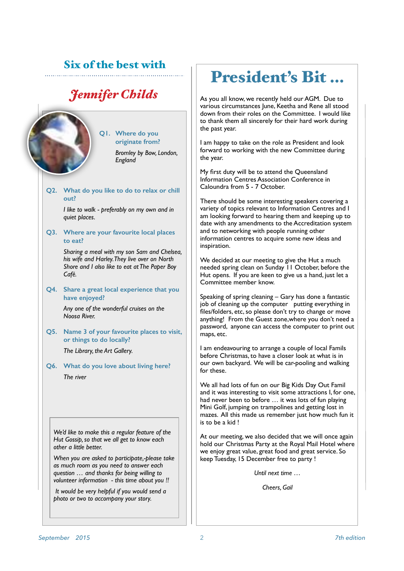#### Six of the best with

### *Jennifer Childs*

**Q1. Where do you originate from?** 

> *Bromley by Bow, London, England*

#### **Q2. What do you like to do to relax or chill out?**

 *I like to walk - preferably on my own and in quiet places.*

**Q3. Where are your favourite local places to eat?** 

> *Sharing a meal with my son Sam and Chelsea, his wife and Harley. They live over on North Shore and I also like to eat at The Paper Boy Café.*

**Q4. Share a great local experience that you have enjoyed?** 

> *Any one of the wonderful cruises on the Noosa River.*

**Q5. Name 3 of your favourite places to visit, or things to do locally?** 

*The Library, the Art Gallery.*

**Q6. What do you love about living here?**  *The river*

*We'd like to make this a regular feature of the Hut Gossip, so that we all get to know each other a little better.* 

*When you are asked to participate,-please take as much room as you need to answer each question … and thanks for being willing to volunteer information - this time about you !!* 

 *It would be very helpful if you would send a photo or two to accompany your story.*

## President's Bit …

As you all know, we recently held our AGM. Due to various circumstances June, Keetha and Rene all stood down from their roles on the Committee. I would like to thank them all sincerely for their hard work during the past year.

I am happy to take on the role as President and look forward to working with the new Committee during the year.

My first duty will be to attend the Queensland Information Centres Association Conference in Caloundra from 5 - 7 October.

There should be some interesting speakers covering a variety of topics relevant to Information Centres and I am looking forward to hearing them and keeping up to date with any amendments to the Accreditation system and to networking with people running other information centres to acquire some new ideas and inspiration.

We decided at our meeting to give the Hut a much needed spring clean on Sunday 11 October, before the Hut opens. If you are keen to give us a hand, just let a Committee member know.

Speaking of spring cleaning – Gary has done a fantastic job of cleaning up the computer putting everything in files/folders, etc, so please don't try to change or move anything! From the Guest zone,where you don't need a password, anyone can access the computer to print out maps, etc.

I am endeavouring to arrange a couple of local Famils before Christmas, to have a closer look at what is in our own backyard. We will be car-pooling and walking for these.

We all had lots of fun on our Big Kids Day Out Famil and it was interesting to visit some attractions I, for one, had never been to before … it was lots of fun playing Mini Golf, jumping on trampolines and getting lost in mazes. All this made us remember just how much fun it is to be a kid !

At our meeting, we also decided that we will once again hold our Christmas Party at the Royal Mail Hotel where we enjoy great value, great food and great service. So keep Tuesday, 15 December free to party !

*Until next time …*

*Cheers, Gail*